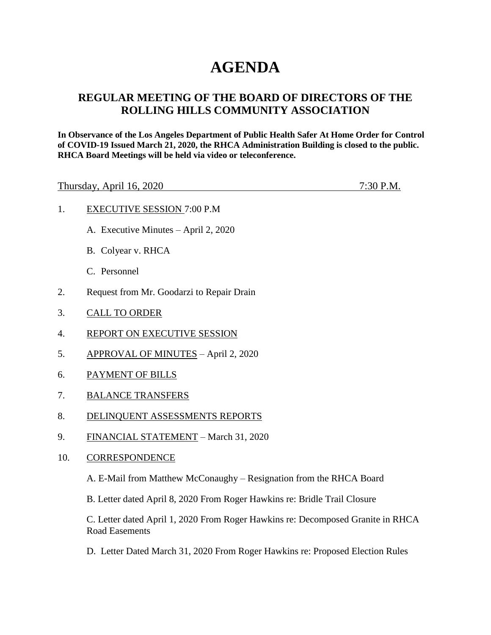## **AGENDA**

## **REGULAR MEETING OF THE BOARD OF DIRECTORS OF THE ROLLING HILLS COMMUNITY ASSOCIATION**

**In Observance of the Los Angeles Department of Public Health Safer At Home Order for Control of COVID-19 Issued March 21, 2020, the RHCA Administration Building is closed to the public. RHCA Board Meetings will be held via video or teleconference.** 

Thursday, April 16, 2020 7:30 P.M.

- 1. EXECUTIVE SESSION 7:00 P.M
	- A. Executive Minutes April 2, 2020
	- B. Colyear v. RHCA
	- C. Personnel
- 2. Request from Mr. Goodarzi to Repair Drain
- 3. CALL TO ORDER
- 4. REPORT ON EXECUTIVE SESSION
- 5. APPROVAL OF MINUTES April 2, 2020
- 6. PAYMENT OF BILLS
- 7. BALANCE TRANSFERS
- 8. DELINQUENT ASSESSMENTS REPORTS
- 9. FINANCIAL STATEMENT March 31, 2020
- 10. CORRESPONDENCE

A. E-Mail from Matthew McConaughy – Resignation from the RHCA Board

B. Letter dated April 8, 2020 From Roger Hawkins re: Bridle Trail Closure

C. Letter dated April 1, 2020 From Roger Hawkins re: Decomposed Granite in RHCA Road Easements

D. Letter Dated March 31, 2020 From Roger Hawkins re: Proposed Election Rules